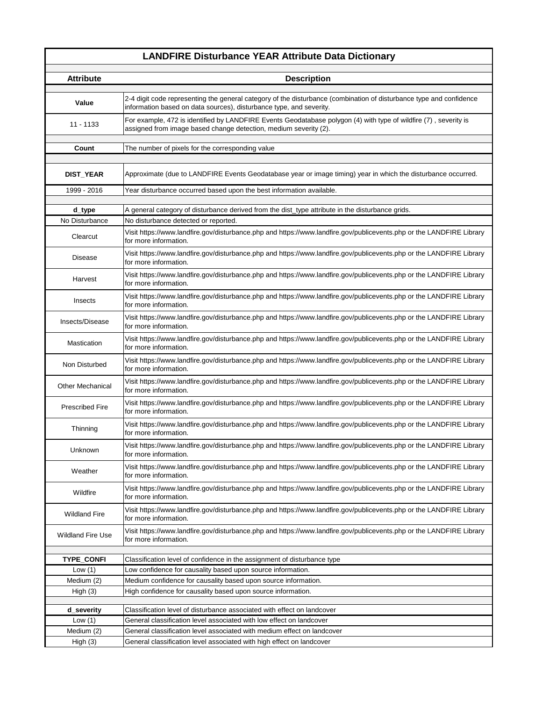## **LANDFIRE Disturbance YEAR Attribute Data Dictionary**

I

| <b>Attribute</b>         | <b>Description</b>                                                                                                                                                                         |
|--------------------------|--------------------------------------------------------------------------------------------------------------------------------------------------------------------------------------------|
| Value                    | 2-4 digit code representing the general category of the disturbance (combination of disturbance type and confidence<br>information based on data sources), disturbance type, and severity. |
| $11 - 1133$              | For example, 472 is identified by LANDFIRE Events Geodatabase polygon (4) with type of wildfire (7), severity is<br>assigned from image based change detection, medium severity (2).       |
| Count                    | The number of pixels for the corresponding value                                                                                                                                           |
|                          |                                                                                                                                                                                            |
| DIST_YEAR                | Approximate (due to LANDFIRE Events Geodatabase year or image timing) year in which the disturbance occurred.                                                                              |
| 1999 - 2016              | Year disturbance occurred based upon the best information available.                                                                                                                       |
| d_type                   | A general category of disturbance derived from the dist_type attribute in the disturbance grids.                                                                                           |
| No Disturbance           | No disturbance detected or reported.                                                                                                                                                       |
| Clearcut                 | Visit https://www.landfire.gov/disturbance.php and https://www.landfire.gov/publicevents.php or the LANDFIRE Library<br>for more information.                                              |
| <b>Disease</b>           | Visit https://www.landfire.gov/disturbance.php and https://www.landfire.gov/publicevents.php or the LANDFIRE Library<br>for more information.                                              |
| Harvest                  | Visit https://www.landfire.gov/disturbance.php and https://www.landfire.gov/publicevents.php or the LANDFIRE Library<br>for more information.                                              |
| Insects                  | Visit https://www.landfire.gov/disturbance.php and https://www.landfire.gov/publicevents.php or the LANDFIRE Library<br>for more information.                                              |
| Insects/Disease          | Visit https://www.landfire.gov/disturbance.php and https://www.landfire.gov/publicevents.php or the LANDFIRE Library<br>for more information.                                              |
| Mastication              | Visit https://www.landfire.gov/disturbance.php and https://www.landfire.gov/publicevents.php or the LANDFIRE Library<br>for more information.                                              |
| Non Disturbed            | Visit https://www.landfire.gov/disturbance.php and https://www.landfire.gov/publicevents.php or the LANDFIRE Library<br>for more information.                                              |
| <b>Other Mechanical</b>  | Visit https://www.landfire.gov/disturbance.php and https://www.landfire.gov/publicevents.php or the LANDFIRE Library<br>for more information.                                              |
| <b>Prescribed Fire</b>   | Visit https://www.landfire.gov/disturbance.php and https://www.landfire.gov/publicevents.php or the LANDFIRE Library<br>for more information.                                              |
| Thinning                 | Visit https://www.landfire.gov/disturbance.php and https://www.landfire.gov/publicevents.php or the LANDFIRE Library<br>for more information.                                              |
| Unknown                  | Visit https://www.landfire.gov/disturbance.php and https://www.landfire.gov/publicevents.php or the LANDFIRE Library<br>for more information.                                              |
| Weather                  | Visit https://www.landfire.gov/disturbance.php and https://www.landfire.gov/publicevents.php or the LANDFIRE Library<br>for more information.                                              |
| Wildfire                 | Visit https://www.landfire.gov/disturbance.php and https://www.landfire.gov/publicevents.php or the LANDFIRE Library<br>for more information.                                              |
| <b>Wildland Fire</b>     | Visit https://www.landfire.gov/disturbance.php and https://www.landfire.gov/publicevents.php or the LANDFIRE Library<br>for more information.                                              |
| <b>Wildland Fire Use</b> | Visit https://www.landfire.gov/disturbance.php and https://www.landfire.gov/publicevents.php or the LANDFIRE Library<br>for more information.                                              |
|                          |                                                                                                                                                                                            |
| TYPE_CONFI               | Classification level of confidence in the assignment of disturbance type                                                                                                                   |
| Low $(1)$                | Low confidence for causality based upon source information.                                                                                                                                |
| Medium (2)               | Medium confidence for causality based upon source information.                                                                                                                             |
| High $(3)$               | High confidence for causality based upon source information.                                                                                                                               |
| d_severity               | Classification level of disturbance associated with effect on landcover                                                                                                                    |
| Low $(1)$                | General classification level associated with low effect on landcover                                                                                                                       |
| Medium (2)               | General classification level associated with medium effect on landcover                                                                                                                    |
| High (3)                 | General classification level associated with high effect on landcover                                                                                                                      |